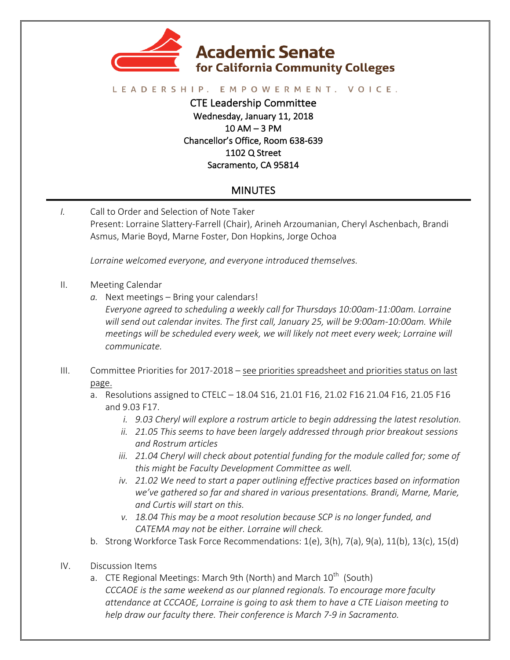

## LEADERSHIP. EMPOWERMENT. VOICE.

CTE Leadership Committee Wednesday, January 11, 2018  $10$  AM  $-$  3 PM Chancellor's Office, Room 638-639 1102 Q Street Sacramento, CA 95814

## MINUTES

*I.* Call to Order and Selection of Note Taker Present: Lorraine Slattery-Farrell (Chair), Arineh Arzoumanian, Cheryl Aschenbach, Brandi Asmus, Marie Boyd, Marne Foster, Don Hopkins, Jorge Ochoa

Lorraine welcomed everyone, and everyone introduced themselves.

- II. Meeting Calendar
	- a. Next meetings Bring your calendars!
		- *Everyone agreed to scheduling a weekly call for Thursdays 10:00am-11:00am. Lorraine* will send out calendar invites. The first call, January 25, will be 9:00am-10:00am. While *meetings will be scheduled every week, we will likely not meet every week; Lorraine will communicate.*
- III. Committee Priorities for 2017-2018 see priorities spreadsheet and priorities status on last page.
	- a. Resolutions assigned to CTELC  $-$  18.04 S16, 21.01 F16, 21.02 F16 21.04 F16, 21.05 F16 and 9.03 F17.
		- *i.* 9.03 Cheryl will explore a rostrum article to begin addressing the latest resolution.
		- *ii.* 21.05 This seems to have been largely addressed through prior breakout sessions *and Rostrum articles*
		- *iii.* 21.04 Cheryl will check about potential funding for the module called for; some of this might be Faculty Development Committee as well.
		- *iv.* 21.02 We need to start a paper outlining effective practices based on information we've gathered so far and shared in various presentations. Brandi, Marne, Marie, and Curtis will start on this.
		- *v.* 18.04 This may be a moot resolution because SCP is no longer funded, and CATEMA may not be either. Lorraine will check.
	- b. Strong Workforce Task Force Recommendations:  $1(e)$ ,  $3(h)$ ,  $7(a)$ ,  $9(a)$ ,  $11(b)$ ,  $13(c)$ ,  $15(d)$
- IV. Discussion Items
	- a. CTE Regional Meetings: March 9th (North) and March  $10^{th}$  (South) *CCCAOE* is the same weekend as our planned regionals. To encourage more faculty *attendance at CCCAOE, Lorraine is going to ask them to have a CTE Liaison meeting to help* draw our faculty there. Their conference is March 7-9 in Sacramento.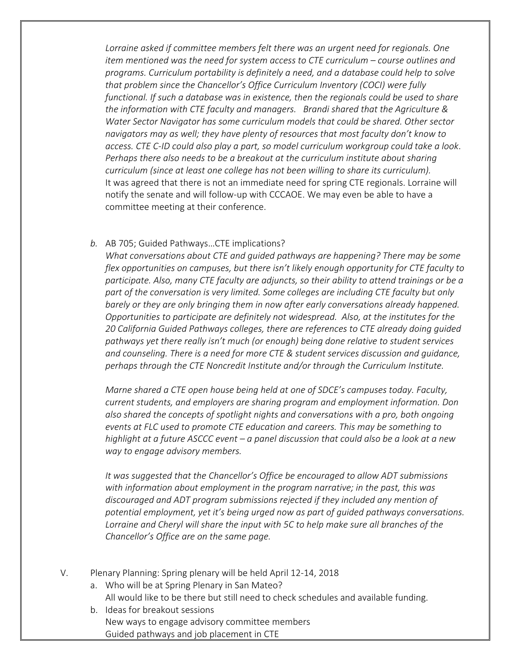Lorraine asked if committee members felt there was an urgent need for regionals. One *item* mentioned was the need for system access to CTE curriculum – course outlines and programs. Curriculum portability is definitely a need, and a database could help to solve *that problem since the Chancellor's Office Curriculum Inventory (COCI)* were *fully functional.* If such a database was in existence, then the regionals could be used to share the information with CTE faculty and managers. Brandi shared that the Agriculture & *Water Sector Navigator has some curriculum models that could be shared. Other sector navigators* may as well; they have plenty of resources that most faculty don't know to *access. CTE C-ID could also play a part, so model curriculum workgroup could take a look*. *Perhaps* there also needs to be a breakout at the curriculum institute about sharing *curriculum* (since at least one college has not been willing to share its curriculum). It was agreed that there is not an immediate need for spring CTE regionals. Lorraine will notify the senate and will follow-up with CCCAOE. We may even be able to have a committee meeting at their conference.

## b. AB 705; Guided Pathways...CTE implications?

*What conversations about CTE and quided pathways are happening? There may be some flex opportunities on campuses, but there isn't likely enough opportunity for CTE faculty to* participate. Also, many CTE faculty are adjuncts, so their ability to attend trainings or be a part of the conversation is very limited. Some colleges are including CTE faculty but only *barely* or they are only bringing them in now after early conversations already happened. *Opportunities to participate are definitely not widespread.* Also, at the institutes for the 20 California Guided Pathways colleges, there are references to CTE already doing quided *pathways* yet there really isn't much (or enough) being done relative to student services and counseling. There is a need for more CTE & student services discussion and quidance, perhaps through the CTE Noncredit Institute and/or through the Curriculum Institute.

*Marne shared a CTE open house being held at one of SDCE's campuses today. Faculty, current students, and employers are sharing program and employment information. Don also shared the concepts of spotlight nights and conversations with a pro, both ongoing events at FLC used to promote CTE education and careers. This may be something to highlight at a future ASCCC event* – a panel discussion that could also be a look at a new *way to engage advisory members.*

*It* was suggested that the Chancellor's Office be encouraged to allow ADT submissions *with* information about employment in the program narrative; in the past, this was discouraged and ADT program submissions rejected if they included any mention of potential employment, yet it's being urged now as part of guided pathways conversations. Lorraine and Cheryl will share the input with 5C to help make sure all branches of the *Chancellor's Office are on the same page.* 

- V. Plenary Planning: Spring plenary will be held April 12-14, 2018
	- a. Who will be at Spring Plenary in San Mateo? All would like to be there but still need to check schedules and available funding.
	- b. Ideas for breakout sessions New ways to engage advisory committee members Guided pathways and job placement in CTE